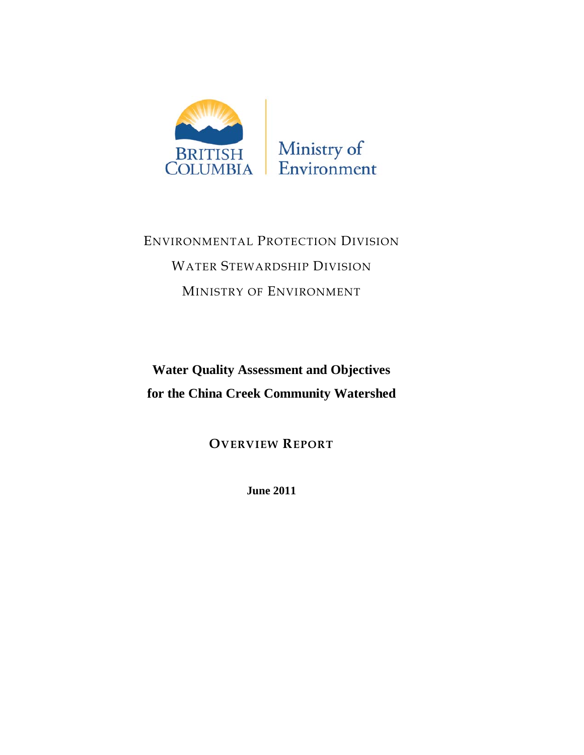

ENVIRONMENTAL PROTECTION DIVISION WATER STEWARDSHIP DIVISION MINISTRY OF ENVIRONMENT

**Water Quality Assessment and Objectives for the China Creek Community Watershed**

**OVERVIEW REPORT**

**June 2011**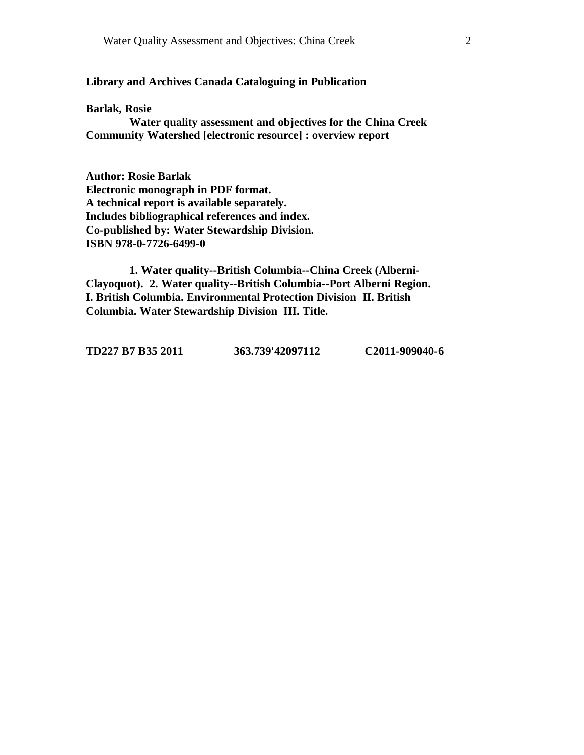## **Library and Archives Canada Cataloguing in Publication**

#### **Barlak, Rosie**

**Water quality assessment and objectives for the China Creek Community Watershed [electronic resource] : overview report**

**Author: Rosie Barlak Electronic monograph in PDF format. A technical report is available separately. Includes bibliographical references and index. Co-published by: Water Stewardship Division. ISBN 978-0-7726-6499-0**

**1. Water quality--British Columbia--China Creek (Alberni-Clayoquot). 2. Water quality--British Columbia--Port Alberni Region. I. British Columbia. Environmental Protection Division II. British Columbia. Water Stewardship Division III. Title.**

**TD227 B7 B35 2011 363.739'42097112 C2011-909040-6**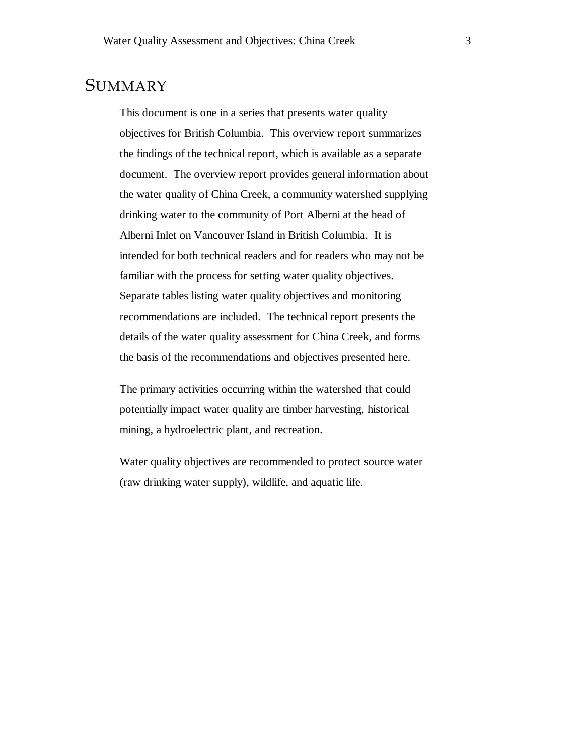# **SUMMARY**

This document is one in a series that presents water quality objectives for British Columbia. This overview report summarizes the findings of the technical report, which is available as a separate document. The overview report provides general information about the water quality of China Creek, a community watershed supplying drinking water to the community of Port Alberni at the head of Alberni Inlet on Vancouver Island in British Columbia. It is intended for both technical readers and for readers who may not be familiar with the process for setting water quality objectives. Separate tables listing water quality objectives and monitoring recommendations are included. The technical report presents the details of the water quality assessment for China Creek, and forms the basis of the recommendations and objectives presented here.

The primary activities occurring within the watershed that could potentially impact water quality are timber harvesting, historical mining, a hydroelectric plant, and recreation.

Water quality objectives are recommended to protect source water (raw drinking water supply), wildlife, and aquatic life.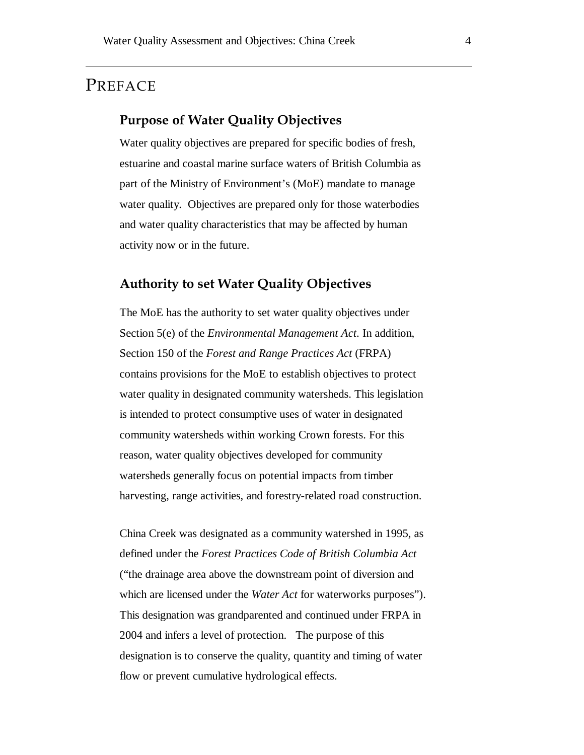# PREFACE

## **Purpose of Water Quality Objectives**

Water quality objectives are prepared for specific bodies of fresh, estuarine and coastal marine surface waters of British Columbia as part of the Ministry of Environment's (MoE) mandate to manage water quality. Objectives are prepared only for those waterbodies and water quality characteristics that may be affected by human activity now or in the future.

## **Authority to set Water Quality Objectives**

The MoE has the authority to set water quality objectives under Section 5(e) of the *Environmental Management Act*. In addition, Section 150 of the *Forest and Range Practices Act* (FRPA) contains provisions for the MoE to establish objectives to protect water quality in designated community watersheds. This legislation is intended to protect consumptive uses of water in designated community watersheds within working Crown forests. For this reason, water quality objectives developed for community watersheds generally focus on potential impacts from timber harvesting, range activities, and forestry-related road construction.

China Creek was designated as a community watershed in 1995, as defined under the *Forest Practices Code of British Columbia Act*  ("the drainage area above the downstream point of diversion and which are licensed under the *Water Act* for waterworks purposes"). This designation was grandparented and continued under FRPA in 2004 and infers a level of protection. The purpose of this designation is to conserve the quality, quantity and timing of water flow or prevent cumulative hydrological effects.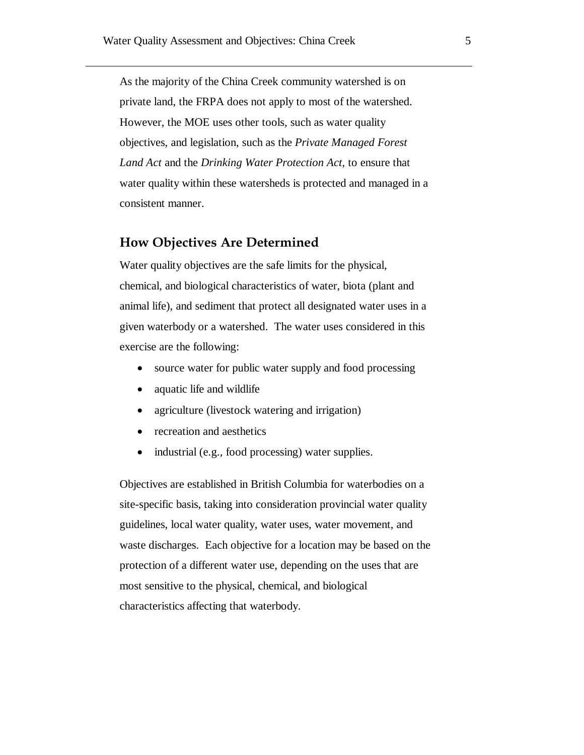As the majority of the China Creek community watershed is on private land, the FRPA does not apply to most of the watershed. However, the MOE uses other tools, such as water quality objectives, and legislation, such as the *Private Managed Forest Land Act* and the *Drinking Water Protection Act*, to ensure that water quality within these watersheds is protected and managed in a consistent manner.

## **How Objectives Are Determined**

Water quality objectives are the safe limits for the physical, chemical, and biological characteristics of water, biota (plant and animal life), and sediment that protect all designated water uses in a given waterbody or a watershed. The water uses considered in this exercise are the following:

- source water for public water supply and food processing
- aquatic life and wildlife
- agriculture (livestock watering and irrigation)
- recreation and aesthetics
- industrial (e.g., food processing) water supplies.

Objectives are established in British Columbia for waterbodies on a site-specific basis, taking into consideration provincial water quality guidelines, local water quality, water uses, water movement, and waste discharges. Each objective for a location may be based on the protection of a different water use, depending on the uses that are most sensitive to the physical, chemical, and biological characteristics affecting that waterbody.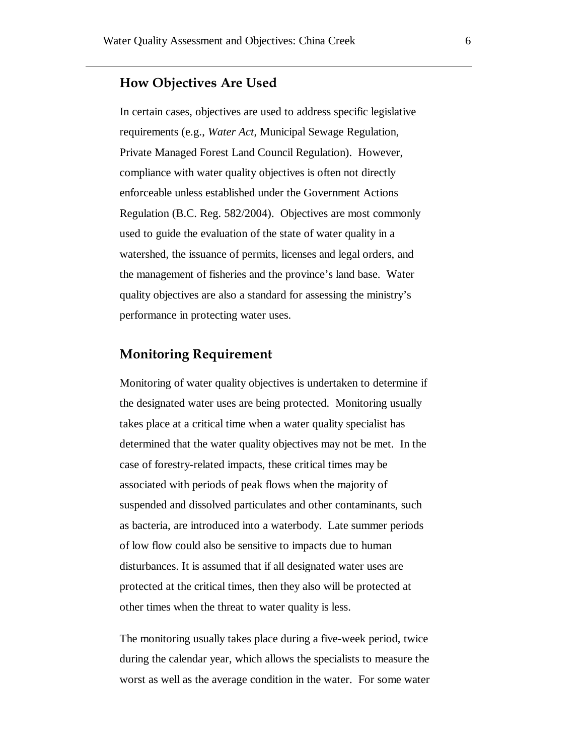## **How Objectives Are Used**

In certain cases, objectives are used to address specific legislative requirements (e.g., *Water Act*, Municipal Sewage Regulation, Private Managed Forest Land Council Regulation). However, compliance with water quality objectives is often not directly enforceable unless established under the Government Actions Regulation (B.C. Reg. 582/2004). Objectives are most commonly used to guide the evaluation of the state of water quality in a watershed, the issuance of permits, licenses and legal orders, and the management of fisheries and the province's land base. Water quality objectives are also a standard for assessing the ministry's performance in protecting water uses.

# **Monitoring Requirement**

Monitoring of water quality objectives is undertaken to determine if the designated water uses are being protected. Monitoring usually takes place at a critical time when a water quality specialist has determined that the water quality objectives may not be met. In the case of forestry-related impacts, these critical times may be associated with periods of peak flows when the majority of suspended and dissolved particulates and other contaminants, such as bacteria, are introduced into a waterbody. Late summer periods of low flow could also be sensitive to impacts due to human disturbances. It is assumed that if all designated water uses are protected at the critical times, then they also will be protected at other times when the threat to water quality is less.

The monitoring usually takes place during a five-week period, twice during the calendar year, which allows the specialists to measure the worst as well as the average condition in the water. For some water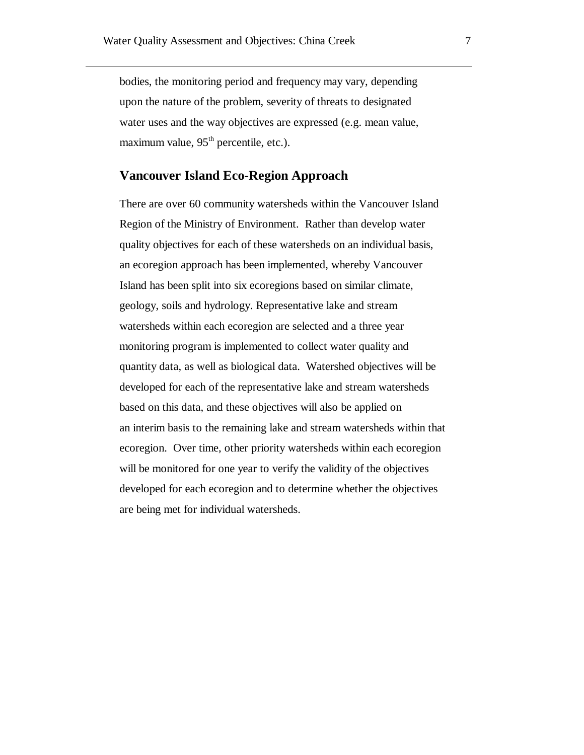bodies, the monitoring period and frequency may vary, depending upon the nature of the problem, severity of threats to designated water uses and the way objectives are expressed (e.g. mean value, maximum value,  $95<sup>th</sup>$  percentile, etc.).

## **Vancouver Island Eco-Region Approach**

There are over 60 community watersheds within the Vancouver Island Region of the Ministry of Environment. Rather than develop water quality objectives for each of these watersheds on an individual basis, an ecoregion approach has been implemented, whereby Vancouver Island has been split into six ecoregions based on similar climate, geology, soils and hydrology. Representative lake and stream watersheds within each ecoregion are selected and a three year monitoring program is implemented to collect water quality and quantity data, as well as biological data. Watershed objectives will be developed for each of the representative lake and stream watersheds based on this data, and these objectives will also be applied on an interim basis to the remaining lake and stream watersheds within that ecoregion. Over time, other priority watersheds within each ecoregion will be monitored for one year to verify the validity of the objectives developed for each ecoregion and to determine whether the objectives are being met for individual watersheds.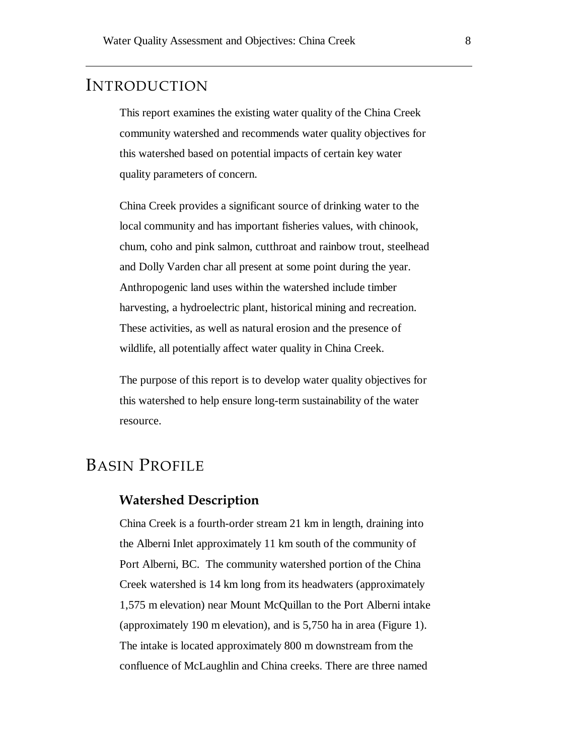# INTRODUCTION

This report examines the existing water quality of the China Creek community watershed and recommends water quality objectives for this watershed based on potential impacts of certain key water quality parameters of concern.

China Creek provides a significant source of drinking water to the local community and has important fisheries values, with chinook, chum, coho and pink salmon, cutthroat and rainbow trout, steelhead and Dolly Varden char all present at some point during the year. Anthropogenic land uses within the watershed include timber harvesting, a hydroelectric plant, historical mining and recreation. These activities, as well as natural erosion and the presence of wildlife, all potentially affect water quality in China Creek.

The purpose of this report is to develop water quality objectives for this watershed to help ensure long-term sustainability of the water resource.

# BASIN PROFILE

## **Watershed Description**

China Creek is a fourth-order stream 21 km in length, draining into the Alberni Inlet approximately 11 km south of the community of Port Alberni, BC. The community watershed portion of the China Creek watershed is 14 km long from its headwaters (approximately 1,575 m elevation) near Mount McQuillan to the Port Alberni intake (approximately 190 m elevation), and is 5,750 ha in area [\(Figure 1\)](#page-8-0). The intake is located approximately 800 m downstream from the confluence of McLaughlin and China creeks. There are three named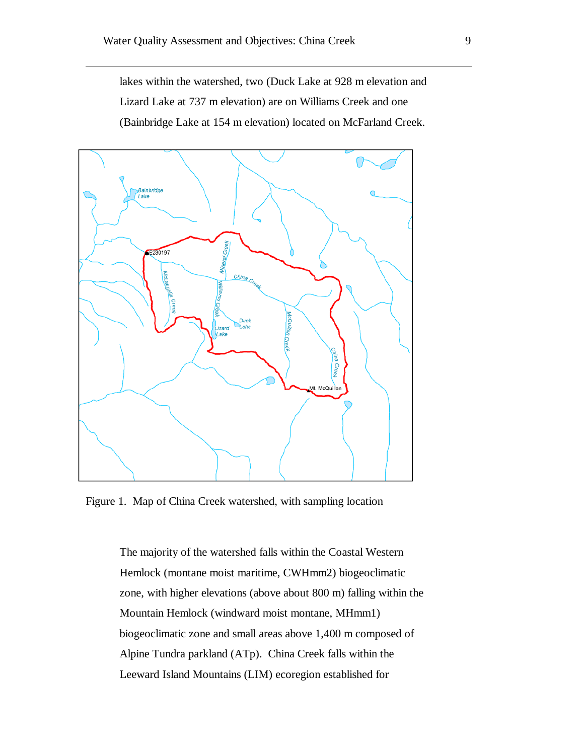lakes within the watershed, two (Duck Lake at 928 m elevation and Lizard Lake at 737 m elevation) are on Williams Creek and one (Bainbridge Lake at 154 m elevation) located on McFarland Creek.



<span id="page-8-0"></span>Figure 1. Map of China Creek watershed, with sampling location

The majority of the watershed falls within the Coastal Western Hemlock (montane moist maritime, CWHmm2) biogeoclimatic zone, with higher elevations (above about 800 m) falling within the Mountain Hemlock (windward moist montane, MHmm1) biogeoclimatic zone and small areas above 1,400 m composed of Alpine Tundra parkland (ATp). China Creek falls within the Leeward Island Mountains (LIM) ecoregion established for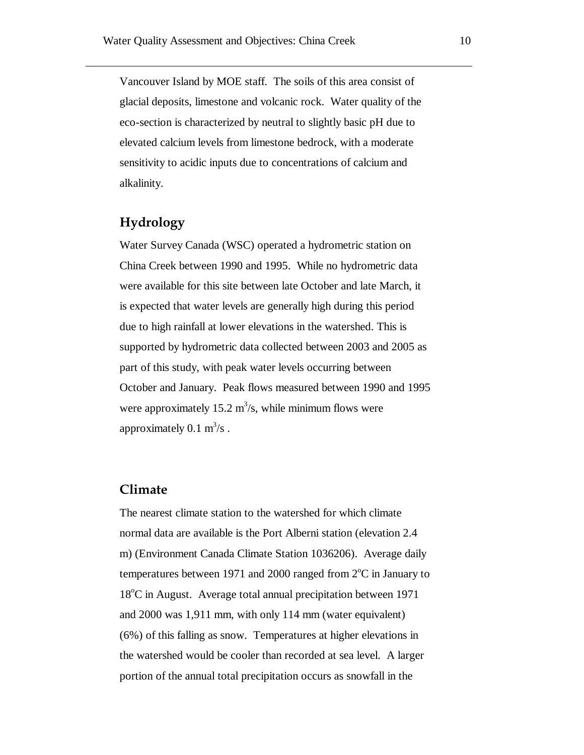Vancouver Island by MOE staff. The soils of this area consist of glacial deposits, limestone and volcanic rock. Water quality of the eco-section is characterized by neutral to slightly basic pH due to elevated calcium levels from limestone bedrock, with a moderate sensitivity to acidic inputs due to concentrations of calcium and alkalinity.

## **Hydrology**

Water Survey Canada (WSC) operated a hydrometric station on China Creek between 1990 and 1995. While no hydrometric data were available for this site between late October and late March, it is expected that water levels are generally high during this period due to high rainfall at lower elevations in the watershed. This is supported by hydrometric data collected between 2003 and 2005 as part of this study, with peak water levels occurring between October and January. Peak flows measured between 1990 and 1995 were approximately 15.2  $\text{m}^3$ /s, while minimum flows were approximately  $0.1 \text{ m}^3/\text{s}$ .

## **Climate**

The nearest climate station to the watershed for which climate normal data are available is the Port Alberni station (elevation 2.4 m) (Environment Canada Climate Station 1036206). Average daily temperatures between 1971 and 2000 ranged from  $2^{\circ}$ C in January to 18°C in August. Average total annual precipitation between 1971 and 2000 was 1,911 mm, with only 114 mm (water equivalent) (6%) of this falling as snow. Temperatures at higher elevations in the watershed would be cooler than recorded at sea level. A larger portion of the annual total precipitation occurs as snowfall in the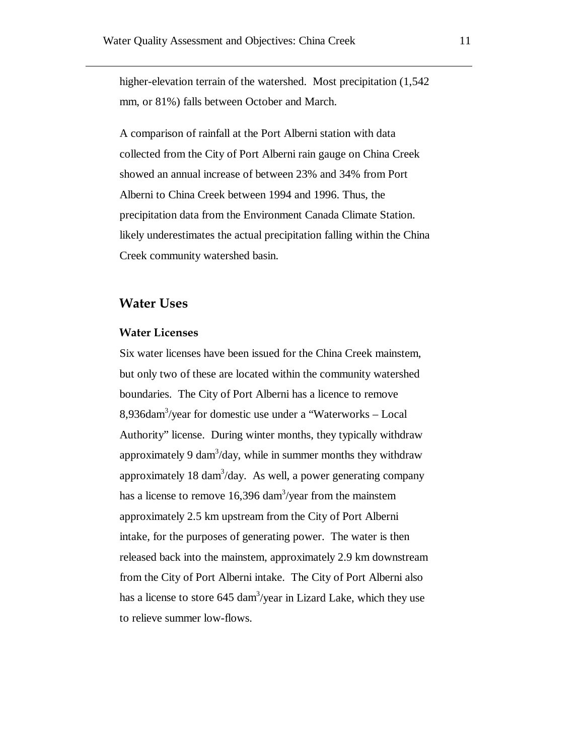higher-elevation terrain of the watershed. Most precipitation  $(1,542)$ mm, or 81%) falls between October and March.

A comparison of rainfall at the Port Alberni station with data collected from the City of Port Alberni rain gauge on China Creek showed an annual increase of between 23% and 34% from Port Alberni to China Creek between 1994 and 1996. Thus, the precipitation data from the Environment Canada Climate Station. likely underestimates the actual precipitation falling within the China Creek community watershed basin.

## **Water Uses**

#### **Water Licenses**

Six water licenses have been issued for the China Creek mainstem, but only two of these are located within the community watershed boundaries. The City of Port Alberni has a licence to remove 8,936dam3 /year for domestic use under a "Waterworks – Local Authority" license. During winter months, they typically withdraw approximately 9 dam $3/$ day, while in summer months they withdraw approximately  $18 \text{ dam}^3/\text{day}$ . As well, a power generating company has a license to remove  $16,396 \text{ dam}^3/\text{year}$  from the mainstem approximately 2.5 km upstream from the City of Port Alberni intake, for the purposes of generating power. The water is then released back into the mainstem, approximately 2.9 km downstream from the City of Port Alberni intake. The City of Port Alberni also has a license to store 645 dam<sup>3</sup>/year in Lizard Lake, which they use to relieve summer low-flows.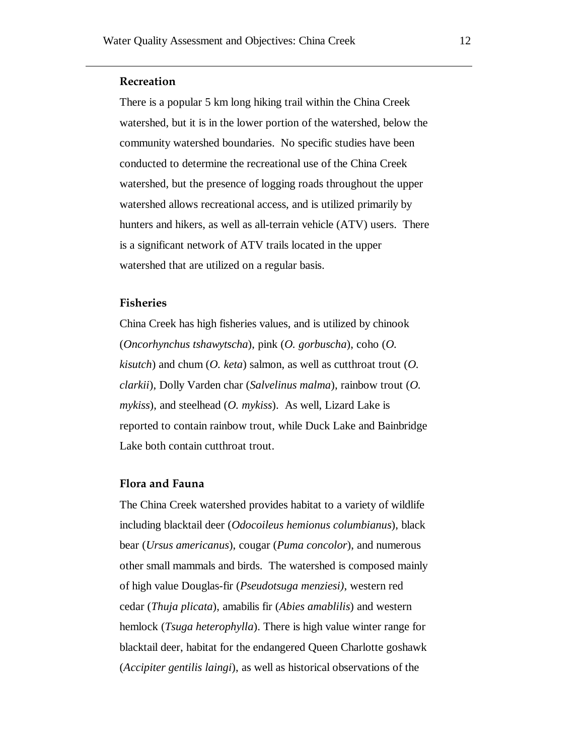#### **Recreation**

There is a popular 5 km long hiking trail within the China Creek watershed, but it is in the lower portion of the watershed, below the community watershed boundaries. No specific studies have been conducted to determine the recreational use of the China Creek watershed, but the presence of logging roads throughout the upper watershed allows recreational access, and is utilized primarily by hunters and hikers, as well as all-terrain vehicle (ATV) users. There is a significant network of ATV trails located in the upper watershed that are utilized on a regular basis.

#### **Fisheries**

China Creek has high fisheries values, and is utilized by chinook (*Oncorhynchus tshawytscha*), pink (*O. gorbuscha*), coho (*O. kisutch*) and chum (*O. keta*) salmon, as well as cutthroat trout (*O. clarkii*), Dolly Varden char (*Salvelinus malma*), rainbow trout (*O. mykiss*), and steelhead (*O. mykiss*). As well, Lizard Lake is reported to contain rainbow trout, while Duck Lake and Bainbridge Lake both contain cutthroat trout.

#### **Flora and Fauna**

The China Creek watershed provides habitat to a variety of wildlife including blacktail deer (*Odocoileus hemionus columbianus*), black bear (*Ursus americanus*), cougar (*Puma concolor*), and numerous other small mammals and birds. The watershed is composed mainly of high value Douglas-fir (*Pseudotsuga menziesi)*, western red cedar (*Thuja plicata*), amabilis fir (*Abies amablilis*) and western hemlock (*Tsuga heterophylla*). There is high value winter range for blacktail deer, habitat for the endangered Queen Charlotte goshawk (*Accipiter gentilis laingi*), as well as historical observations of the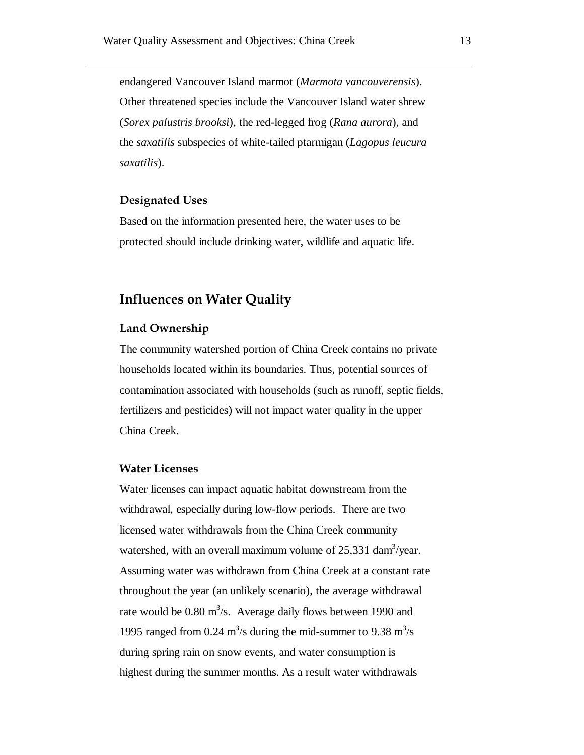endangered Vancouver Island marmot (*Marmota vancouverensis*). Other threatened species include the Vancouver Island water shrew (*Sorex palustris brooksi*), the red-legged frog (*Rana aurora*), and the *saxatilis* subspecies of white-tailed ptarmigan (*Lagopus leucura saxatilis*).

## **Designated Uses**

Based on the information presented here, the water uses to be protected should include drinking water, wildlife and aquatic life.

# **Influences on Water Quality**

#### **Land Ownership**

The community watershed portion of China Creek contains no private households located within its boundaries. Thus, potential sources of contamination associated with households (such as runoff, septic fields, fertilizers and pesticides) will not impact water quality in the upper China Creek.

#### **Water Licenses**

Water licenses can impact aquatic habitat downstream from the withdrawal, especially during low-flow periods. There are two licensed water withdrawals from the China Creek community watershed, with an overall maximum volume of  $25,331$  dam<sup>3</sup>/year. Assuming water was withdrawn from China Creek at a constant rate throughout the year (an unlikely scenario), the average withdrawal rate would be  $0.80 \text{ m}^3/\text{s}$ . Average daily flows between 1990 and 1995 ranged from 0.24  $\text{m}^3$ /s during the mid-summer to 9.38  $\text{m}^3$ /s during spring rain on snow events, and water consumption is highest during the summer months. As a result water withdrawals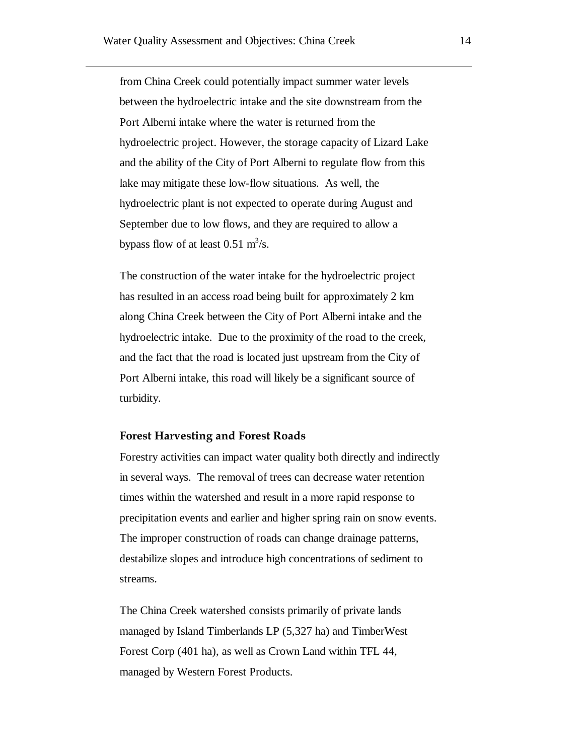from China Creek could potentially impact summer water levels between the hydroelectric intake and the site downstream from the Port Alberni intake where the water is returned from the hydroelectric project. However, the storage capacity of Lizard Lake and the ability of the City of Port Alberni to regulate flow from this lake may mitigate these low-flow situations. As well, the hydroelectric plant is not expected to operate during August and September due to low flows, and they are required to allow a bypass flow of at least  $0.51 \text{ m}^3/\text{s}$ .

The construction of the water intake for the hydroelectric project has resulted in an access road being built for approximately 2 km along China Creek between the City of Port Alberni intake and the hydroelectric intake. Due to the proximity of the road to the creek, and the fact that the road is located just upstream from the City of Port Alberni intake, this road will likely be a significant source of turbidity.

#### **Forest Harvesting and Forest Roads**

Forestry activities can impact water quality both directly and indirectly in several ways. The removal of trees can decrease water retention times within the watershed and result in a more rapid response to precipitation events and earlier and higher spring rain on snow events. The improper construction of roads can change drainage patterns, destabilize slopes and introduce high concentrations of sediment to streams.

The China Creek watershed consists primarily of private lands managed by Island Timberlands LP (5,327 ha) and TimberWest Forest Corp (401 ha), as well as Crown Land within TFL 44, managed by Western Forest Products.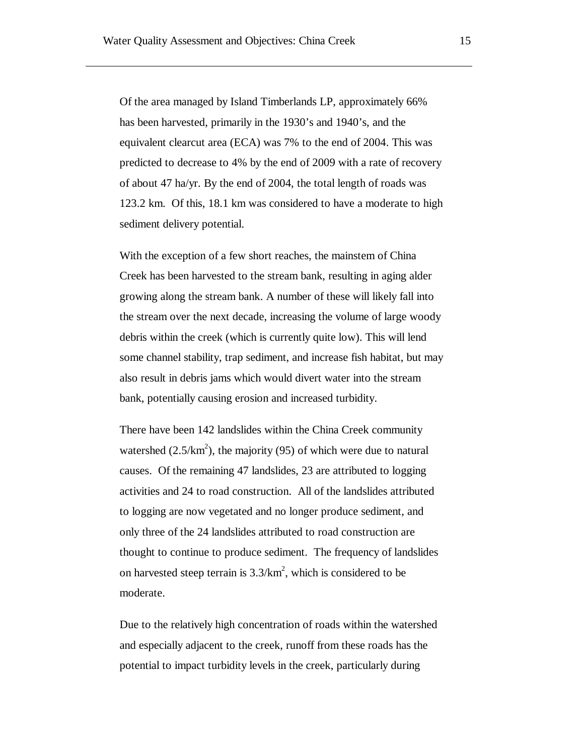Of the area managed by Island Timberlands LP, approximately 66% has been harvested, primarily in the 1930's and 1940's, and the equivalent clearcut area (ECA) was 7% to the end of 2004. This was predicted to decrease to 4% by the end of 2009 with a rate of recovery of about 47 ha/yr. By the end of 2004, the total length of roads was 123.2 km. Of this, 18.1 km was considered to have a moderate to high sediment delivery potential.

With the exception of a few short reaches, the mainstem of China Creek has been harvested to the stream bank, resulting in aging alder growing along the stream bank. A number of these will likely fall into the stream over the next decade, increasing the volume of large woody debris within the creek (which is currently quite low). This will lend some channel stability, trap sediment, and increase fish habitat, but may also result in debris jams which would divert water into the stream bank, potentially causing erosion and increased turbidity.

There have been 142 landslides within the China Creek community watershed  $(2.5/km^2)$ , the majority (95) of which were due to natural causes. Of the remaining 47 landslides, 23 are attributed to logging activities and 24 to road construction. All of the landslides attributed to logging are now vegetated and no longer produce sediment, and only three of the 24 landslides attributed to road construction are thought to continue to produce sediment. The frequency of landslides on harvested steep terrain is  $3.3/km^2$ , which is considered to be moderate.

Due to the relatively high concentration of roads within the watershed and especially adjacent to the creek, runoff from these roads has the potential to impact turbidity levels in the creek, particularly during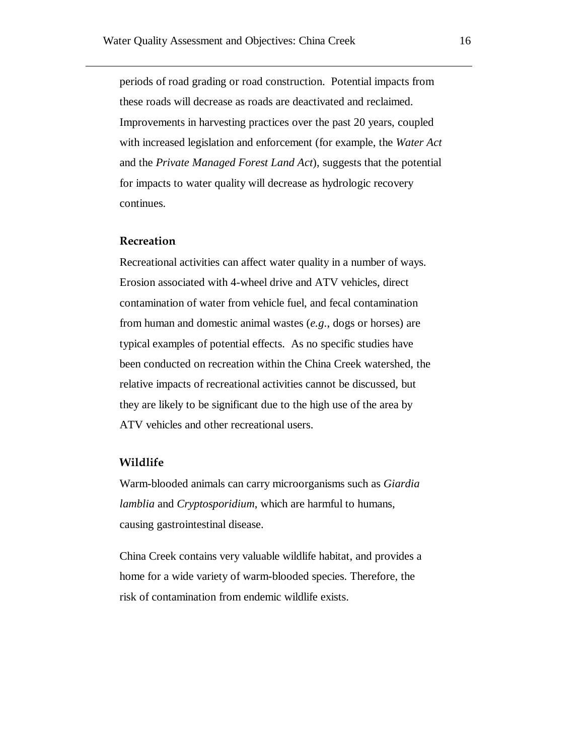periods of road grading or road construction. Potential impacts from these roads will decrease as roads are deactivated and reclaimed. Improvements in harvesting practices over the past 20 years, coupled with increased legislation and enforcement (for example, the *Water Act* and the *Private Managed Forest Land Act*), suggests that the potential for impacts to water quality will decrease as hydrologic recovery continues.

#### **Recreation**

Recreational activities can affect water quality in a number of ways. Erosion associated with 4-wheel drive and ATV vehicles, direct contamination of water from vehicle fuel, and fecal contamination from human and domestic animal wastes (*e.g*., dogs or horses) are typical examples of potential effects. As no specific studies have been conducted on recreation within the China Creek watershed, the relative impacts of recreational activities cannot be discussed, but they are likely to be significant due to the high use of the area by ATV vehicles and other recreational users.

#### **Wildlife**

Warm-blooded animals can carry microorganisms such as *Giardia lamblia* and *Cryptosporidium*, which are harmful to humans, causing gastrointestinal disease.

China Creek contains very valuable wildlife habitat, and provides a home for a wide variety of warm-blooded species. Therefore, the risk of contamination from endemic wildlife exists.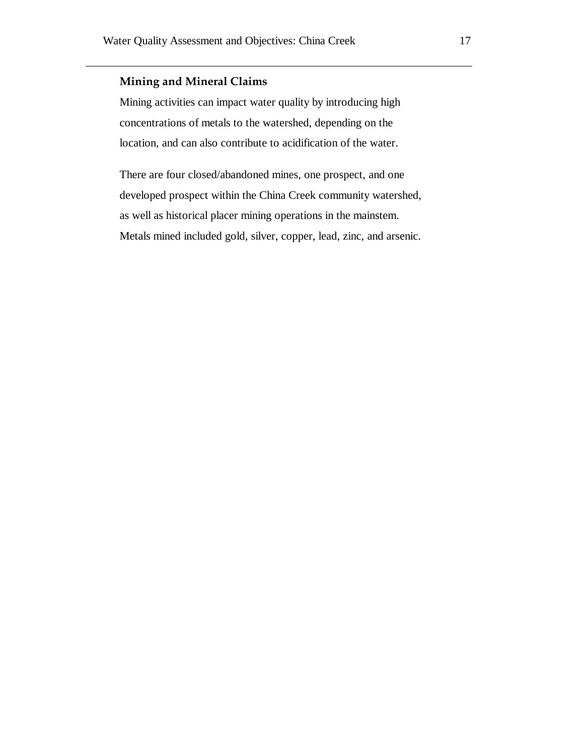## **Mining and Mineral Claims**

Mining activities can impact water quality by introducing high concentrations of metals to the watershed, depending on the location, and can also contribute to acidification of the water.

There are four closed/abandoned mines, one prospect, and one developed prospect within the China Creek community watershed, as well as historical placer mining operations in the mainstem. Metals mined included gold, silver, copper, lead, zinc, and arsenic.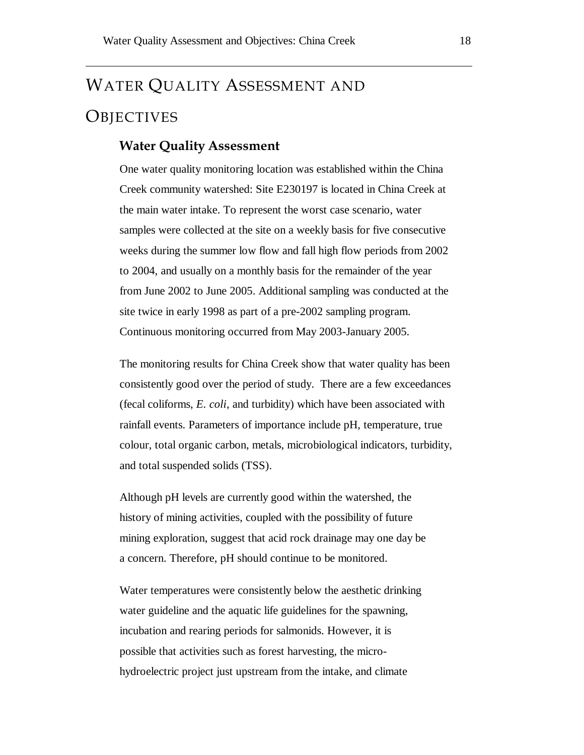# WATER QUALITY ASSESSMENT AND **OBJECTIVES**

#### **Water Quality Assessment**

One water quality monitoring location was established within the China Creek community watershed: Site E230197 is located in China Creek at the main water intake. To represent the worst case scenario, water samples were collected at the site on a weekly basis for five consecutive weeks during the summer low flow and fall high flow periods from 2002 to 2004, and usually on a monthly basis for the remainder of the year from June 2002 to June 2005. Additional sampling was conducted at the site twice in early 1998 as part of a pre-2002 sampling program. Continuous monitoring occurred from May 2003-January 2005.

The monitoring results for China Creek show that water quality has been consistently good over the period of study. There are a few exceedances (fecal coliforms, *E. coli*, and turbidity) which have been associated with rainfall events. Parameters of importance include pH, temperature, true colour, total organic carbon, metals, microbiological indicators, turbidity, and total suspended solids (TSS).

Although pH levels are currently good within the watershed, the history of mining activities, coupled with the possibility of future mining exploration, suggest that acid rock drainage may one day be a concern. Therefore, pH should continue to be monitored.

Water temperatures were consistently below the aesthetic drinking water guideline and the aquatic life guidelines for the spawning, incubation and rearing periods for salmonids. However, it is possible that activities such as forest harvesting, the microhydroelectric project just upstream from the intake, and climate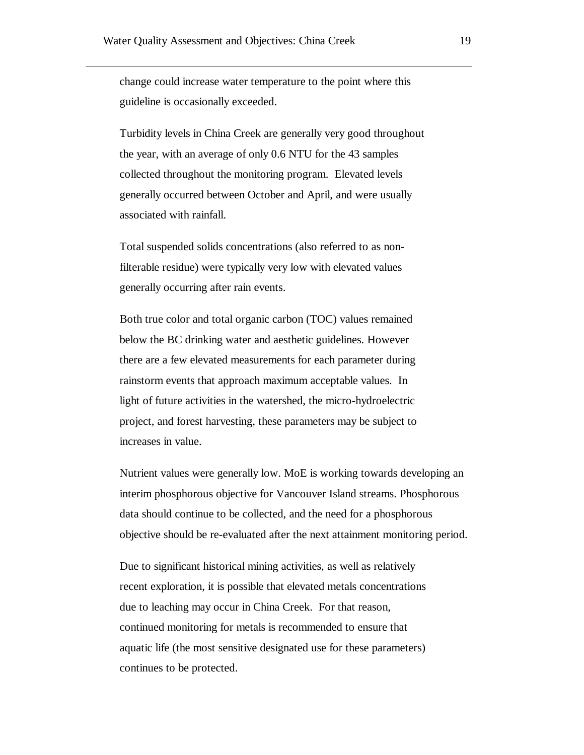change could increase water temperature to the point where this guideline is occasionally exceeded.

Turbidity levels in China Creek are generally very good throughout the year, with an average of only 0.6 NTU for the 43 samples collected throughout the monitoring program. Elevated levels generally occurred between October and April, and were usually associated with rainfall.

Total suspended solids concentrations (also referred to as nonfilterable residue) were typically very low with elevated values generally occurring after rain events.

Both true color and total organic carbon (TOC) values remained below the BC drinking water and aesthetic guidelines. However there are a few elevated measurements for each parameter during rainstorm events that approach maximum acceptable values. In light of future activities in the watershed, the micro-hydroelectric project, and forest harvesting, these parameters may be subject to increases in value.

Nutrient values were generally low. MoE is working towards developing an interim phosphorous objective for Vancouver Island streams. Phosphorous data should continue to be collected, and the need for a phosphorous objective should be re-evaluated after the next attainment monitoring period.

Due to significant historical mining activities, as well as relatively recent exploration, it is possible that elevated metals concentrations due to leaching may occur in China Creek. For that reason, continued monitoring for metals is recommended to ensure that aquatic life (the most sensitive designated use for these parameters) continues to be protected.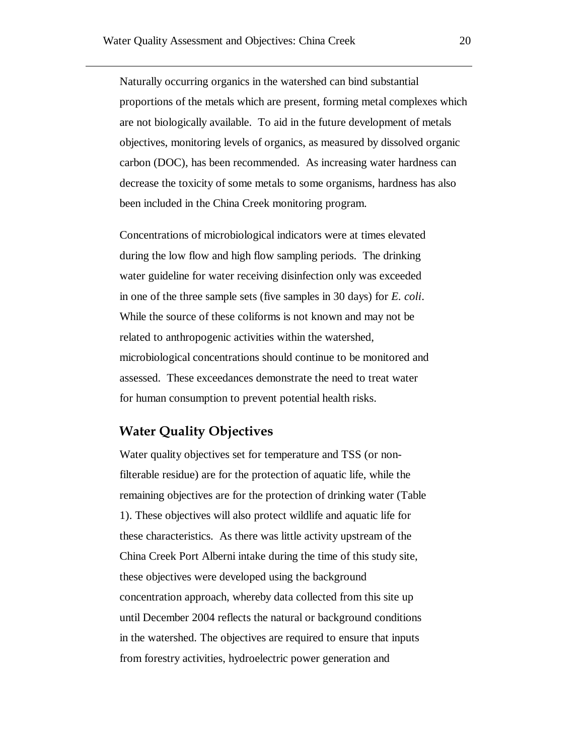Naturally occurring organics in the watershed can bind substantial proportions of the metals which are present, forming metal complexes which are not biologically available. To aid in the future development of metals objectives, monitoring levels of organics, as measured by dissolved organic carbon (DOC), has been recommended. As increasing water hardness can decrease the toxicity of some metals to some organisms, hardness has also been included in the China Creek monitoring program.

Concentrations of microbiological indicators were at times elevated during the low flow and high flow sampling periods. The drinking water guideline for water receiving disinfection only was exceeded in one of the three sample sets (five samples in 30 days) for *E. coli*. While the source of these coliforms is not known and may not be related to anthropogenic activities within the watershed, microbiological concentrations should continue to be monitored and assessed. These exceedances demonstrate the need to treat water for human consumption to prevent potential health risks.

# **Water Quality Objectives**

Water quality objectives set for temperature and TSS (or nonfilterable residue) are for the protection of aquatic life, while the remaining objectives are for the protection of drinking water (Table 1). These objectives will also protect wildlife and aquatic life for these characteristics. As there was little activity upstream of the China Creek Port Alberni intake during the time of this study site, these objectives were developed using the background concentration approach, whereby data collected from this site up until December 2004 reflects the natural or background conditions in the watershed. The objectives are required to ensure that inputs from forestry activities, hydroelectric power generation and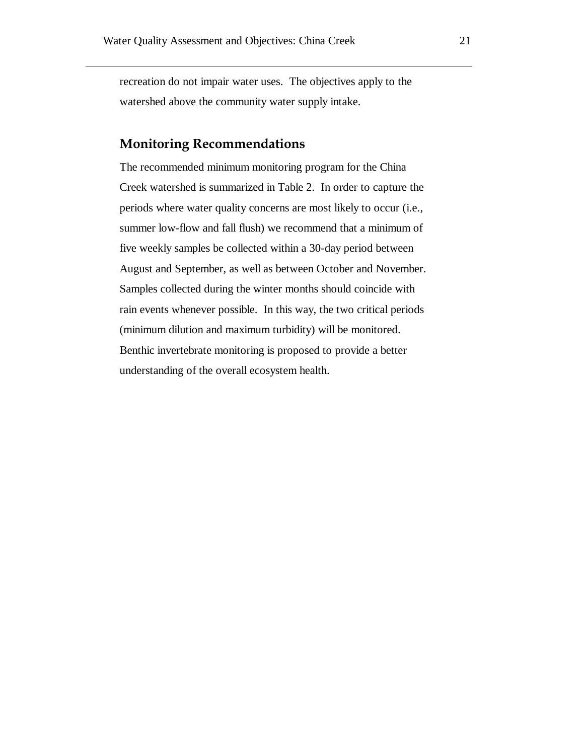recreation do not impair water uses. The objectives apply to the watershed above the community water supply intake.

## **Monitoring Recommendations**

The recommended minimum monitoring program for the China Creek watershed is summarized in [Table 2.](#page-21-0) In order to capture the periods where water quality concerns are most likely to occur (i.e., summer low-flow and fall flush) we recommend that a minimum of five weekly samples be collected within a 30-day period between August and September, as well as between October and November. Samples collected during the winter months should coincide with rain events whenever possible. In this way, the two critical periods (minimum dilution and maximum turbidity) will be monitored. Benthic invertebrate monitoring is proposed to provide a better understanding of the overall ecosystem health.